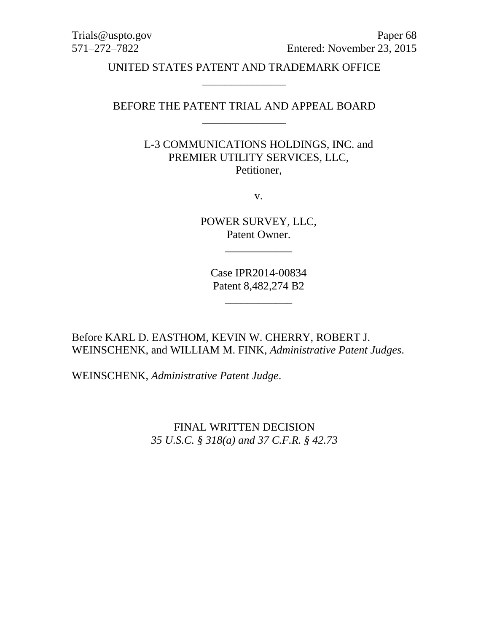Trials@uspto.gov Paper 68 571–272–7822 Entered: November 23, 2015

> UNITED STATES PATENT AND TRADEMARK OFFICE \_\_\_\_\_\_\_\_\_\_\_\_\_\_\_

# BEFORE THE PATENT TRIAL AND APPEAL BOARD \_\_\_\_\_\_\_\_\_\_\_\_\_\_\_

L-3 COMMUNICATIONS HOLDINGS, INC. and PREMIER UTILITY SERVICES, LLC, Petitioner,

v.

POWER SURVEY, LLC, Patent Owner.

\_\_\_\_\_\_\_\_\_\_\_\_

Case IPR2014-00834 Patent 8,482,274 B2

\_\_\_\_\_\_\_\_\_\_\_\_

Before KARL D. EASTHOM, KEVIN W. CHERRY, ROBERT J. WEINSCHENK, and WILLIAM M. FINK, *Administrative Patent Judges*.

WEINSCHENK, *Administrative Patent Judge*.

FINAL WRITTEN DECISION *35 U.S.C. § 318(a) and 37 C.F.R. § 42.73*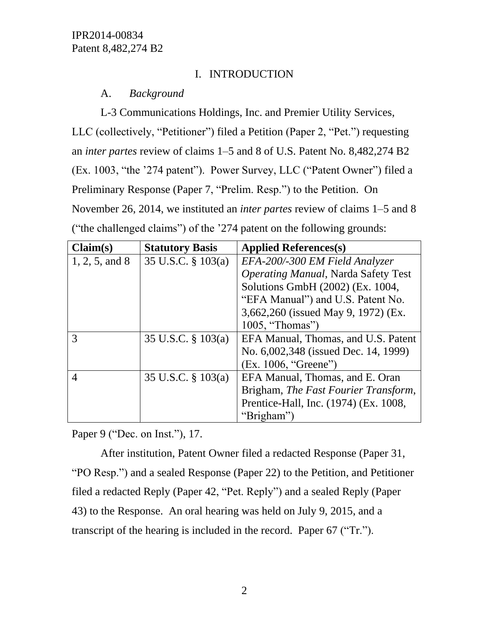# I. INTRODUCTION

# A. *Background*

L-3 Communications Holdings, Inc. and Premier Utility Services, LLC (collectively, "Petitioner") filed a Petition (Paper 2, "Pet.") requesting an *inter partes* review of claims 1–5 and 8 of U.S. Patent No. 8,482,274 B2 (Ex. 1003, "the '274 patent"). Power Survey, LLC ("Patent Owner") filed a Preliminary Response (Paper 7, "Prelim. Resp.") to the Petition. On November 26, 2014, we instituted an *inter partes* review of claims 1–5 and 8 ("the challenged claims") of the '274 patent on the following grounds:

| Claim(s)         | <b>Statutory Basis</b> | <b>Applied References(s)</b>               |
|------------------|------------------------|--------------------------------------------|
| $1, 2, 5,$ and 8 | 35 U.S.C. § 103(a)     | EFA-200/-300 EM Field Analyzer             |
|                  |                        | <b>Operating Manual, Narda Safety Test</b> |
|                  |                        | Solutions GmbH (2002) (Ex. 1004,           |
|                  |                        | "EFA Manual") and U.S. Patent No.          |
|                  |                        | 3,662,260 (issued May 9, 1972) (Ex.        |
|                  |                        | 1005, "Thomas")                            |
| 3                | 35 U.S.C. $\S$ 103(a)  | EFA Manual, Thomas, and U.S. Patent        |
|                  |                        | No. 6,002,348 (issued Dec. 14, 1999)       |
|                  |                        | (Ex. 1006, "Greene")                       |
| 4                | 35 U.S.C. $\S$ 103(a)  | EFA Manual, Thomas, and E. Oran            |
|                  |                        | Brigham, The Fast Fourier Transform,       |
|                  |                        | Prentice-Hall, Inc. (1974) (Ex. 1008,      |
|                  |                        | "Brigham"                                  |

Paper 9 ("Dec. on Inst."), 17.

After institution, Patent Owner filed a redacted Response (Paper 31, "PO Resp.") and a sealed Response (Paper 22) to the Petition, and Petitioner filed a redacted Reply (Paper 42, "Pet. Reply") and a sealed Reply (Paper 43) to the Response. An oral hearing was held on July 9, 2015, and a transcript of the hearing is included in the record. Paper 67 ("Tr.").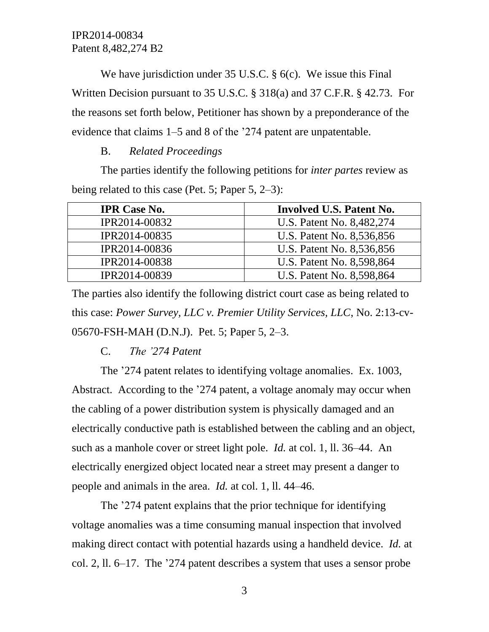We have jurisdiction under 35 U.S.C. § 6(c). We issue this Final Written Decision pursuant to 35 U.S.C. § 318(a) and 37 C.F.R. § 42.73. For the reasons set forth below, Petitioner has shown by a preponderance of the evidence that claims 1–5 and 8 of the '274 patent are unpatentable.

### B. *Related Proceedings*

The parties identify the following petitions for *inter partes* review as being related to this case (Pet. 5; Paper 5, 2–3):

| <b>IPR Case No.</b> | Involved U.S. Patent No.  |
|---------------------|---------------------------|
| IPR2014-00832       | U.S. Patent No. 8,482,274 |
| IPR2014-00835       | U.S. Patent No. 8,536,856 |
| IPR2014-00836       | U.S. Patent No. 8,536,856 |
| IPR2014-00838       | U.S. Patent No. 8,598,864 |
| IPR2014-00839       | U.S. Patent No. 8,598,864 |

The parties also identify the following district court case as being related to this case: *Power Survey, LLC v. Premier Utility Services, LLC*, No. 2:13-cv-05670-FSH-MAH (D.N.J). Pet. 5; Paper 5, 2–3.

### C. *The '274 Patent*

The '274 patent relates to identifying voltage anomalies. Ex. 1003, Abstract. According to the '274 patent, a voltage anomaly may occur when the cabling of a power distribution system is physically damaged and an electrically conductive path is established between the cabling and an object, such as a manhole cover or street light pole. *Id.* at col. 1, ll. 36–44. An electrically energized object located near a street may present a danger to people and animals in the area. *Id.* at col. 1, ll. 44–46.

The '274 patent explains that the prior technique for identifying voltage anomalies was a time consuming manual inspection that involved making direct contact with potential hazards using a handheld device. *Id.* at col. 2, ll. 6–17. The '274 patent describes a system that uses a sensor probe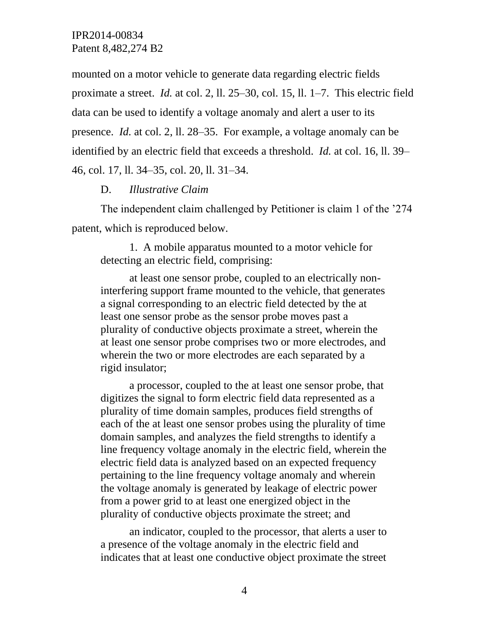mounted on a motor vehicle to generate data regarding electric fields proximate a street. *Id.* at col. 2, ll. 25–30, col. 15, ll. 1–7. This electric field data can be used to identify a voltage anomaly and alert a user to its presence. *Id.* at col. 2, ll. 28–35. For example, a voltage anomaly can be identified by an electric field that exceeds a threshold. *Id.* at col. 16, ll. 39– 46, col. 17, ll. 34–35, col. 20, ll. 31–34.

## D. *Illustrative Claim*

The independent claim challenged by Petitioner is claim 1 of the '274 patent, which is reproduced below.

1. A mobile apparatus mounted to a motor vehicle for detecting an electric field, comprising:

at least one sensor probe, coupled to an electrically noninterfering support frame mounted to the vehicle, that generates a signal corresponding to an electric field detected by the at least one sensor probe as the sensor probe moves past a plurality of conductive objects proximate a street, wherein the at least one sensor probe comprises two or more electrodes, and wherein the two or more electrodes are each separated by a rigid insulator;

a processor, coupled to the at least one sensor probe, that digitizes the signal to form electric field data represented as a plurality of time domain samples, produces field strengths of each of the at least one sensor probes using the plurality of time domain samples, and analyzes the field strengths to identify a line frequency voltage anomaly in the electric field, wherein the electric field data is analyzed based on an expected frequency pertaining to the line frequency voltage anomaly and wherein the voltage anomaly is generated by leakage of electric power from a power grid to at least one energized object in the plurality of conductive objects proximate the street; and

an indicator, coupled to the processor, that alerts a user to a presence of the voltage anomaly in the electric field and indicates that at least one conductive object proximate the street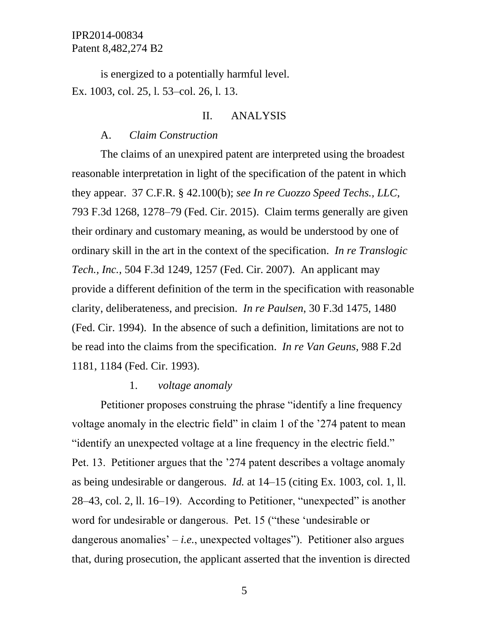is energized to a potentially harmful level. Ex. 1003, col. 25, l. 53–col. 26, l. 13.

### II. ANALYSIS

#### A. *Claim Construction*

The claims of an unexpired patent are interpreted using the broadest reasonable interpretation in light of the specification of the patent in which they appear. 37 C.F.R. § 42.100(b); *see In re Cuozzo Speed Techs., LLC*, 793 F.3d 1268, 1278–79 (Fed. Cir. 2015). Claim terms generally are given their ordinary and customary meaning, as would be understood by one of ordinary skill in the art in the context of the specification. *In re Translogic Tech., Inc.*, 504 F.3d 1249, 1257 (Fed. Cir. 2007). An applicant may provide a different definition of the term in the specification with reasonable clarity, deliberateness, and precision. *In re Paulsen*, 30 F.3d 1475, 1480 (Fed. Cir. 1994). In the absence of such a definition, limitations are not to be read into the claims from the specification. *In re Van Geuns*, 988 F.2d 1181, 1184 (Fed. Cir. 1993).

#### 1. *voltage anomaly*

Petitioner proposes construing the phrase "identify a line frequency voltage anomaly in the electric field" in claim 1 of the '274 patent to mean "identify an unexpected voltage at a line frequency in the electric field." Pet. 13. Petitioner argues that the '274 patent describes a voltage anomaly as being undesirable or dangerous. *Id.* at 14–15 (citing Ex. 1003, col. 1, ll. 28–43, col. 2, ll. 16–19). According to Petitioner, "unexpected" is another word for undesirable or dangerous. Pet. 15 ("these 'undesirable or dangerous anomalies'  $-i.e.,$  unexpected voltages"). Petitioner also argues that, during prosecution, the applicant asserted that the invention is directed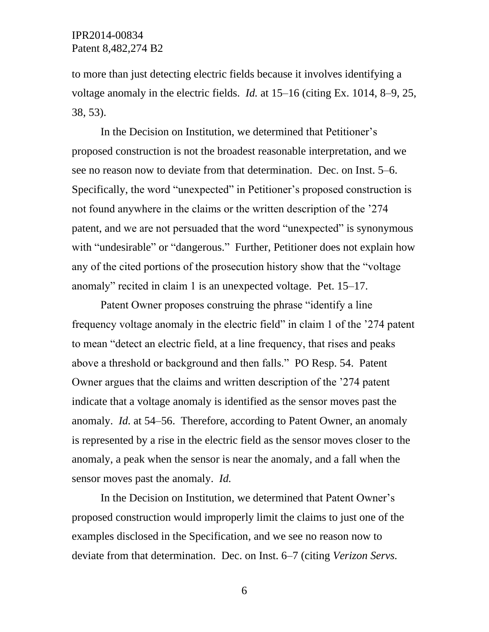to more than just detecting electric fields because it involves identifying a voltage anomaly in the electric fields. *Id.* at 15–16 (citing Ex. 1014, 8–9, 25, 38, 53).

In the Decision on Institution, we determined that Petitioner's proposed construction is not the broadest reasonable interpretation, and we see no reason now to deviate from that determination. Dec. on Inst. 5–6. Specifically, the word "unexpected" in Petitioner's proposed construction is not found anywhere in the claims or the written description of the '274 patent, and we are not persuaded that the word "unexpected" is synonymous with "undesirable" or "dangerous." Further, Petitioner does not explain how any of the cited portions of the prosecution history show that the "voltage anomaly" recited in claim 1 is an unexpected voltage. Pet. 15–17.

Patent Owner proposes construing the phrase "identify a line frequency voltage anomaly in the electric field" in claim 1 of the '274 patent to mean "detect an electric field, at a line frequency, that rises and peaks above a threshold or background and then falls." PO Resp. 54. Patent Owner argues that the claims and written description of the '274 patent indicate that a voltage anomaly is identified as the sensor moves past the anomaly. *Id.* at 54–56. Therefore, according to Patent Owner, an anomaly is represented by a rise in the electric field as the sensor moves closer to the anomaly, a peak when the sensor is near the anomaly, and a fall when the sensor moves past the anomaly. *Id.*

In the Decision on Institution, we determined that Patent Owner's proposed construction would improperly limit the claims to just one of the examples disclosed in the Specification, and we see no reason now to deviate from that determination. Dec. on Inst. 6–7 (citing *Verizon Servs.*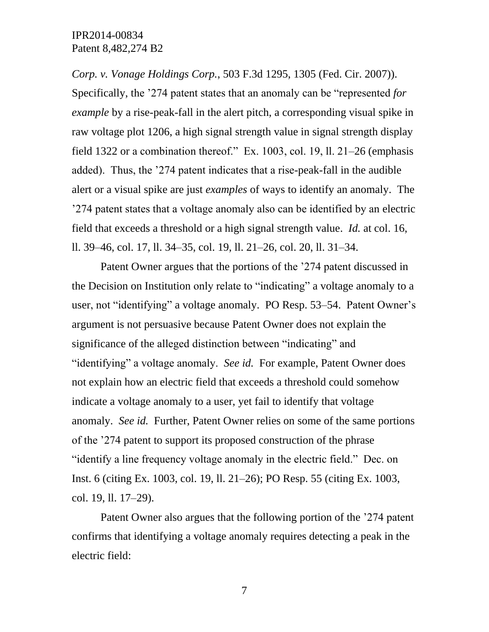*Corp. v. Vonage Holdings Corp.*, 503 F.3d 1295, 1305 (Fed. Cir. 2007)). Specifically, the '274 patent states that an anomaly can be "represented *for example* by a rise-peak-fall in the alert pitch, a corresponding visual spike in raw voltage plot 1206, a high signal strength value in signal strength display field 1322 or a combination thereof." Ex. 1003, col. 19, ll. 21–26 (emphasis added). Thus, the '274 patent indicates that a rise-peak-fall in the audible alert or a visual spike are just *examples* of ways to identify an anomaly. The '274 patent states that a voltage anomaly also can be identified by an electric field that exceeds a threshold or a high signal strength value. *Id.* at col. 16, ll. 39–46, col. 17, ll. 34–35, col. 19, ll. 21–26, col. 20, ll. 31–34.

Patent Owner argues that the portions of the '274 patent discussed in the Decision on Institution only relate to "indicating" a voltage anomaly to a user, not "identifying" a voltage anomaly. PO Resp. 53–54. Patent Owner's argument is not persuasive because Patent Owner does not explain the significance of the alleged distinction between "indicating" and "identifying" a voltage anomaly. *See id.* For example, Patent Owner does not explain how an electric field that exceeds a threshold could somehow indicate a voltage anomaly to a user, yet fail to identify that voltage anomaly. *See id.* Further, Patent Owner relies on some of the same portions of the '274 patent to support its proposed construction of the phrase "identify a line frequency voltage anomaly in the electric field." Dec. on Inst. 6 (citing Ex. 1003, col. 19, ll. 21–26); PO Resp. 55 (citing Ex. 1003, col. 19, ll. 17–29).

Patent Owner also argues that the following portion of the '274 patent confirms that identifying a voltage anomaly requires detecting a peak in the electric field: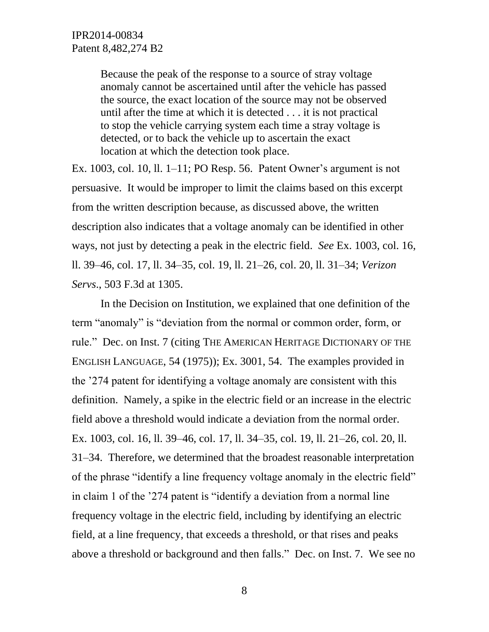Because the peak of the response to a source of stray voltage anomaly cannot be ascertained until after the vehicle has passed the source, the exact location of the source may not be observed until after the time at which it is detected . . . it is not practical to stop the vehicle carrying system each time a stray voltage is detected, or to back the vehicle up to ascertain the exact location at which the detection took place.

Ex. 1003, col. 10, ll. 1–11; PO Resp. 56. Patent Owner's argument is not persuasive. It would be improper to limit the claims based on this excerpt from the written description because, as discussed above, the written description also indicates that a voltage anomaly can be identified in other ways, not just by detecting a peak in the electric field. *See* Ex. 1003, col. 16, ll. 39–46, col. 17, ll. 34–35, col. 19, ll. 21–26, col. 20, ll. 31–34; *Verizon Servs*., 503 F.3d at 1305.

In the Decision on Institution, we explained that one definition of the term "anomaly" is "deviation from the normal or common order, form, or rule." Dec. on Inst. 7 (citing THE AMERICAN HERITAGE DICTIONARY OF THE ENGLISH LANGUAGE, 54 (1975)); Ex. 3001, 54. The examples provided in the '274 patent for identifying a voltage anomaly are consistent with this definition. Namely, a spike in the electric field or an increase in the electric field above a threshold would indicate a deviation from the normal order. Ex. 1003, col. 16, ll. 39–46, col. 17, ll. 34–35, col. 19, ll. 21–26, col. 20, ll. 31–34. Therefore, we determined that the broadest reasonable interpretation of the phrase "identify a line frequency voltage anomaly in the electric field" in claim 1 of the '274 patent is "identify a deviation from a normal line frequency voltage in the electric field, including by identifying an electric field, at a line frequency, that exceeds a threshold, or that rises and peaks above a threshold or background and then falls." Dec. on Inst. 7. We see no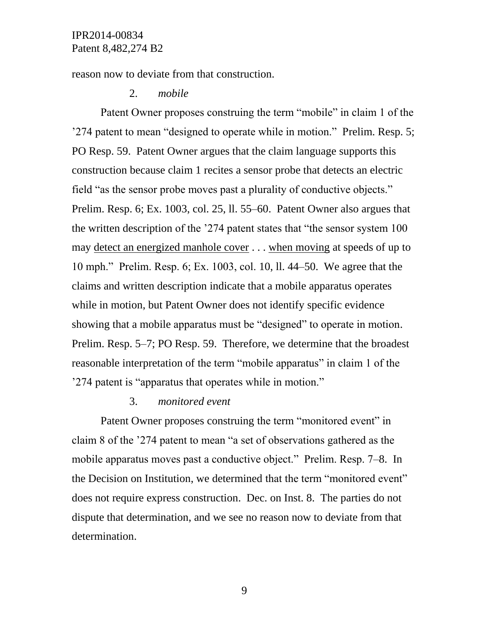reason now to deviate from that construction.

### 2. *mobile*

Patent Owner proposes construing the term "mobile" in claim 1 of the '274 patent to mean "designed to operate while in motion." Prelim. Resp. 5; PO Resp. 59. Patent Owner argues that the claim language supports this construction because claim 1 recites a sensor probe that detects an electric field "as the sensor probe moves past a plurality of conductive objects." Prelim. Resp. 6; Ex. 1003, col. 25, ll. 55–60. Patent Owner also argues that the written description of the '274 patent states that "the sensor system 100 may detect an energized manhole cover . . . when moving at speeds of up to 10 mph." Prelim. Resp. 6; Ex. 1003, col. 10, ll. 44–50. We agree that the claims and written description indicate that a mobile apparatus operates while in motion, but Patent Owner does not identify specific evidence showing that a mobile apparatus must be "designed" to operate in motion. Prelim. Resp. 5–7; PO Resp. 59. Therefore, we determine that the broadest reasonable interpretation of the term "mobile apparatus" in claim 1 of the '274 patent is "apparatus that operates while in motion."

#### 3. *monitored event*

Patent Owner proposes construing the term "monitored event" in claim 8 of the '274 patent to mean "a set of observations gathered as the mobile apparatus moves past a conductive object." Prelim. Resp. 7–8. In the Decision on Institution, we determined that the term "monitored event" does not require express construction. Dec. on Inst. 8. The parties do not dispute that determination, and we see no reason now to deviate from that determination.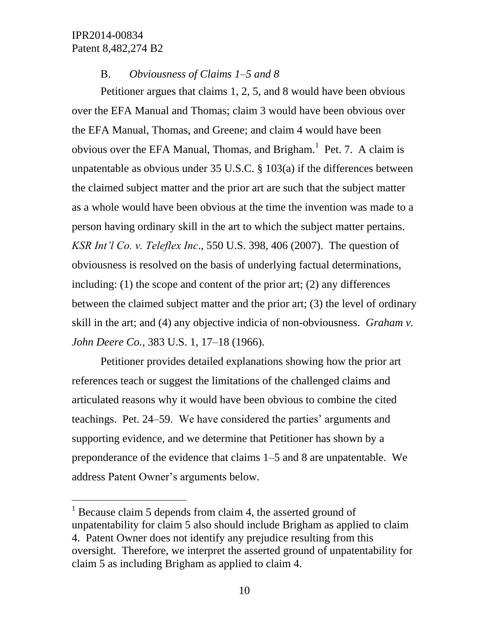l

### B. *Obviousness of Claims 1–5 and 8*

Petitioner argues that claims 1, 2, 5, and 8 would have been obvious over the EFA Manual and Thomas; claim 3 would have been obvious over the EFA Manual, Thomas, and Greene; and claim 4 would have been obvious over the EFA Manual, Thomas, and Brigham. $<sup>1</sup>$  Pet. 7. A claim is</sup> unpatentable as obvious under 35 U.S.C. § 103(a) if the differences between the claimed subject matter and the prior art are such that the subject matter as a whole would have been obvious at the time the invention was made to a person having ordinary skill in the art to which the subject matter pertains. *KSR Int'l Co. v. Teleflex Inc*., 550 U.S. 398, 406 (2007). The question of obviousness is resolved on the basis of underlying factual determinations, including: (1) the scope and content of the prior art; (2) any differences between the claimed subject matter and the prior art; (3) the level of ordinary skill in the art; and (4) any objective indicia of non-obviousness. *Graham v. John Deere Co.*, 383 U.S. 1, 17–18 (1966).

Petitioner provides detailed explanations showing how the prior art references teach or suggest the limitations of the challenged claims and articulated reasons why it would have been obvious to combine the cited teachings. Pet. 24–59. We have considered the parties' arguments and supporting evidence, and we determine that Petitioner has shown by a preponderance of the evidence that claims 1–5 and 8 are unpatentable. We address Patent Owner's arguments below.

 $1$  Because claim 5 depends from claim 4, the asserted ground of unpatentability for claim 5 also should include Brigham as applied to claim 4. Patent Owner does not identify any prejudice resulting from this oversight. Therefore, we interpret the asserted ground of unpatentability for claim 5 as including Brigham as applied to claim 4.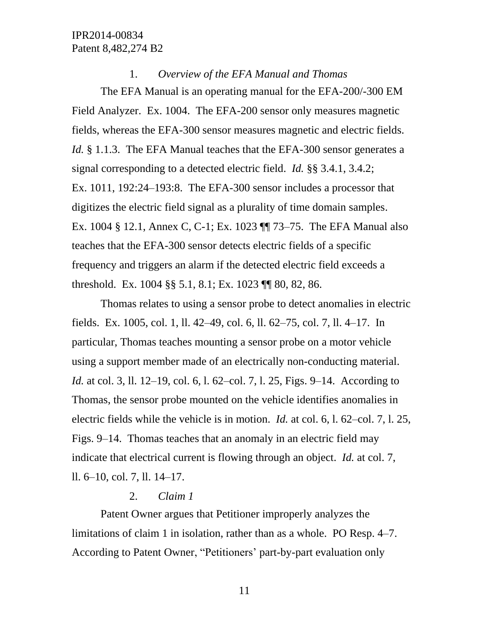### 1. *Overview of the EFA Manual and Thomas*

The EFA Manual is an operating manual for the EFA-200/-300 EM Field Analyzer. Ex. 1004. The EFA-200 sensor only measures magnetic fields, whereas the EFA-300 sensor measures magnetic and electric fields. *Id.* § 1.1.3. The EFA Manual teaches that the EFA-300 sensor generates a signal corresponding to a detected electric field. *Id.* §§ 3.4.1, 3.4.2; Ex. 1011, 192:24–193:8. The EFA-300 sensor includes a processor that digitizes the electric field signal as a plurality of time domain samples. Ex. 1004 § 12.1, Annex C, C-1; Ex. 1023 ¶¶ 73–75. The EFA Manual also teaches that the EFA-300 sensor detects electric fields of a specific frequency and triggers an alarm if the detected electric field exceeds a threshold. Ex. 1004 §§ 5.1, 8.1; Ex. 1023 ¶¶ 80, 82, 86.

Thomas relates to using a sensor probe to detect anomalies in electric fields. Ex. 1005, col. 1, ll. 42–49, col. 6, ll. 62–75, col. 7, ll. 4–17. In particular, Thomas teaches mounting a sensor probe on a motor vehicle using a support member made of an electrically non-conducting material. *Id.* at col. 3, 11. 12–19, col. 6, 1. 62–col. 7, 1. 25, Figs. 9–14. According to Thomas, the sensor probe mounted on the vehicle identifies anomalies in electric fields while the vehicle is in motion. *Id.* at col. 6, l. 62–col. 7, l. 25, Figs. 9–14. Thomas teaches that an anomaly in an electric field may indicate that electrical current is flowing through an object. *Id.* at col. 7, ll. 6–10, col. 7, ll. 14–17.

### 2. *Claim 1*

Patent Owner argues that Petitioner improperly analyzes the limitations of claim 1 in isolation, rather than as a whole. PO Resp. 4–7. According to Patent Owner, "Petitioners' part-by-part evaluation only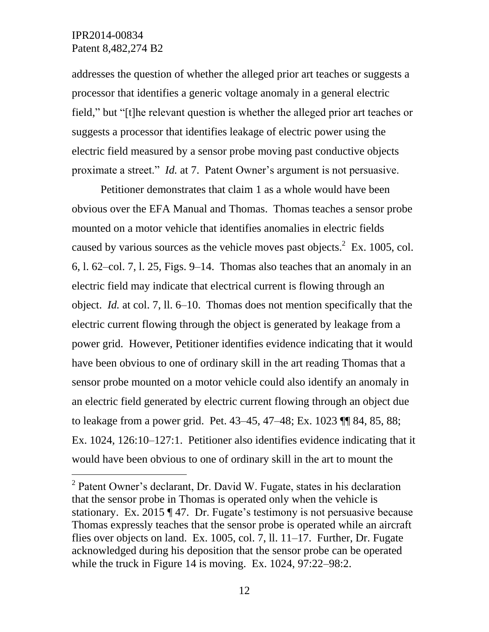$\overline{a}$ 

addresses the question of whether the alleged prior art teaches or suggests a processor that identifies a generic voltage anomaly in a general electric field," but "[t]he relevant question is whether the alleged prior art teaches or suggests a processor that identifies leakage of electric power using the electric field measured by a sensor probe moving past conductive objects proximate a street." *Id.* at 7. Patent Owner's argument is not persuasive.

Petitioner demonstrates that claim 1 as a whole would have been obvious over the EFA Manual and Thomas. Thomas teaches a sensor probe mounted on a motor vehicle that identifies anomalies in electric fields caused by various sources as the vehicle moves past objects. $2$  Ex. 1005, col. 6, l. 62–col. 7, l. 25, Figs. 9–14. Thomas also teaches that an anomaly in an electric field may indicate that electrical current is flowing through an object. *Id.* at col. 7, ll. 6–10. Thomas does not mention specifically that the electric current flowing through the object is generated by leakage from a power grid. However, Petitioner identifies evidence indicating that it would have been obvious to one of ordinary skill in the art reading Thomas that a sensor probe mounted on a motor vehicle could also identify an anomaly in an electric field generated by electric current flowing through an object due to leakage from a power grid. Pet. 43–45, 47–48; Ex. 1023 ¶¶ 84, 85, 88; Ex. 1024, 126:10–127:1. Petitioner also identifies evidence indicating that it would have been obvious to one of ordinary skill in the art to mount the

<sup>&</sup>lt;sup>2</sup> Patent Owner's declarant, Dr. David W. Fugate, states in his declaration that the sensor probe in Thomas is operated only when the vehicle is stationary. Ex. 2015 ¶ 47. Dr. Fugate's testimony is not persuasive because Thomas expressly teaches that the sensor probe is operated while an aircraft flies over objects on land. Ex. 1005, col. 7, ll. 11–17. Further, Dr. Fugate acknowledged during his deposition that the sensor probe can be operated while the truck in Figure 14 is moving. Ex. 1024, 97:22–98:2.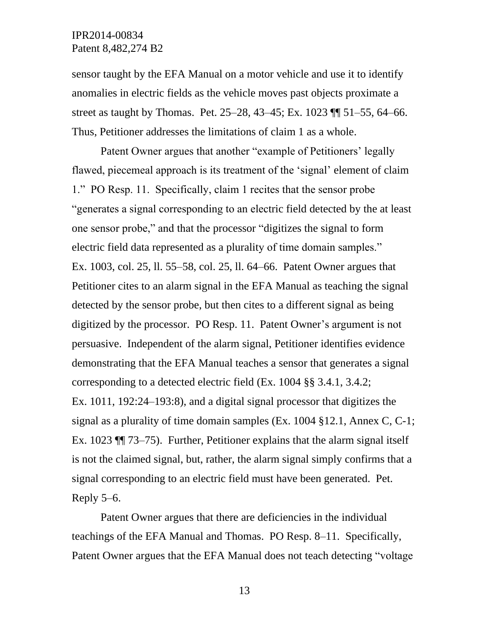sensor taught by the EFA Manual on a motor vehicle and use it to identify anomalies in electric fields as the vehicle moves past objects proximate a street as taught by Thomas. Pet. 25–28, 43–45; Ex. 1023 ¶¶ 51–55, 64–66. Thus, Petitioner addresses the limitations of claim 1 as a whole.

Patent Owner argues that another "example of Petitioners' legally flawed, piecemeal approach is its treatment of the 'signal' element of claim 1." PO Resp. 11. Specifically, claim 1 recites that the sensor probe "generates a signal corresponding to an electric field detected by the at least one sensor probe," and that the processor "digitizes the signal to form electric field data represented as a plurality of time domain samples." Ex. 1003, col. 25, ll. 55–58, col. 25, ll. 64–66. Patent Owner argues that Petitioner cites to an alarm signal in the EFA Manual as teaching the signal detected by the sensor probe, but then cites to a different signal as being digitized by the processor. PO Resp. 11. Patent Owner's argument is not persuasive. Independent of the alarm signal, Petitioner identifies evidence demonstrating that the EFA Manual teaches a sensor that generates a signal corresponding to a detected electric field (Ex. 1004 §§ 3.4.1, 3.4.2; Ex. 1011, 192:24–193:8), and a digital signal processor that digitizes the signal as a plurality of time domain samples (Ex. 1004 §12.1, Annex C, C-1; Ex. 1023 ¶¶ 73–75). Further, Petitioner explains that the alarm signal itself is not the claimed signal, but, rather, the alarm signal simply confirms that a signal corresponding to an electric field must have been generated. Pet. Reply 5–6.

Patent Owner argues that there are deficiencies in the individual teachings of the EFA Manual and Thomas. PO Resp. 8–11. Specifically, Patent Owner argues that the EFA Manual does not teach detecting "voltage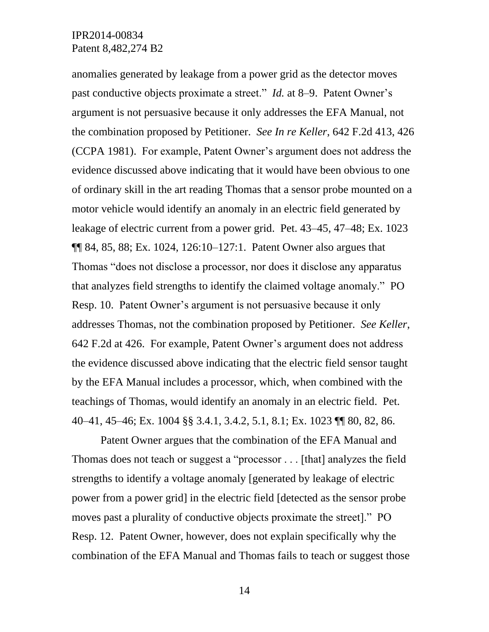anomalies generated by leakage from a power grid as the detector moves past conductive objects proximate a street." *Id.* at 8–9. Patent Owner's argument is not persuasive because it only addresses the EFA Manual, not the combination proposed by Petitioner. *See In re Keller*, 642 F.2d 413, 426 (CCPA 1981). For example, Patent Owner's argument does not address the evidence discussed above indicating that it would have been obvious to one of ordinary skill in the art reading Thomas that a sensor probe mounted on a motor vehicle would identify an anomaly in an electric field generated by leakage of electric current from a power grid. Pet. 43–45, 47–48; Ex. 1023 ¶¶ 84, 85, 88; Ex. 1024, 126:10–127:1. Patent Owner also argues that Thomas "does not disclose a processor, nor does it disclose any apparatus that analyzes field strengths to identify the claimed voltage anomaly." PO Resp. 10. Patent Owner's argument is not persuasive because it only addresses Thomas, not the combination proposed by Petitioner. *See Keller*, 642 F.2d at 426. For example, Patent Owner's argument does not address the evidence discussed above indicating that the electric field sensor taught by the EFA Manual includes a processor, which, when combined with the teachings of Thomas, would identify an anomaly in an electric field. Pet. 40–41, 45–46; Ex. 1004 §§ 3.4.1, 3.4.2, 5.1, 8.1; Ex. 1023 ¶¶ 80, 82, 86.

Patent Owner argues that the combination of the EFA Manual and Thomas does not teach or suggest a "processor . . . [that] analyzes the field strengths to identify a voltage anomaly [generated by leakage of electric power from a power grid] in the electric field [detected as the sensor probe moves past a plurality of conductive objects proximate the street]." PO Resp. 12. Patent Owner, however, does not explain specifically why the combination of the EFA Manual and Thomas fails to teach or suggest those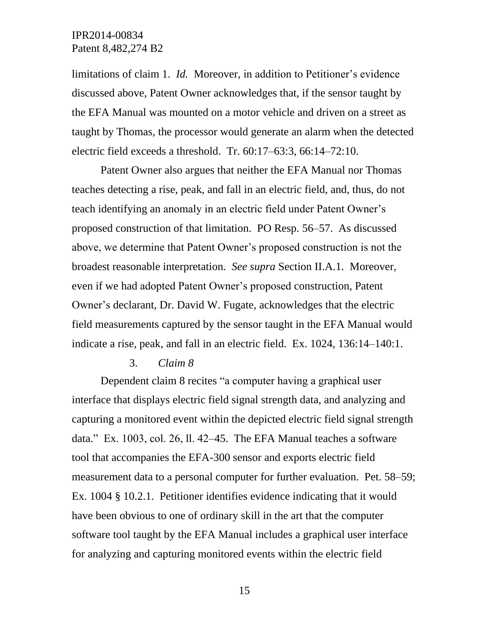limitations of claim 1. *Id.* Moreover, in addition to Petitioner's evidence discussed above, Patent Owner acknowledges that, if the sensor taught by the EFA Manual was mounted on a motor vehicle and driven on a street as taught by Thomas, the processor would generate an alarm when the detected electric field exceeds a threshold. Tr. 60:17–63:3, 66:14–72:10.

Patent Owner also argues that neither the EFA Manual nor Thomas teaches detecting a rise, peak, and fall in an electric field, and, thus, do not teach identifying an anomaly in an electric field under Patent Owner's proposed construction of that limitation. PO Resp. 56–57. As discussed above, we determine that Patent Owner's proposed construction is not the broadest reasonable interpretation. *See supra* Section II.A.1. Moreover, even if we had adopted Patent Owner's proposed construction, Patent Owner's declarant, Dr. David W. Fugate, acknowledges that the electric field measurements captured by the sensor taught in the EFA Manual would indicate a rise, peak, and fall in an electric field. Ex. 1024, 136:14–140:1.

#### 3. *Claim 8*

Dependent claim 8 recites "a computer having a graphical user interface that displays electric field signal strength data, and analyzing and capturing a monitored event within the depicted electric field signal strength data." Ex. 1003, col. 26, ll. 42–45. The EFA Manual teaches a software tool that accompanies the EFA-300 sensor and exports electric field measurement data to a personal computer for further evaluation. Pet. 58–59; Ex. 1004 § 10.2.1. Petitioner identifies evidence indicating that it would have been obvious to one of ordinary skill in the art that the computer software tool taught by the EFA Manual includes a graphical user interface for analyzing and capturing monitored events within the electric field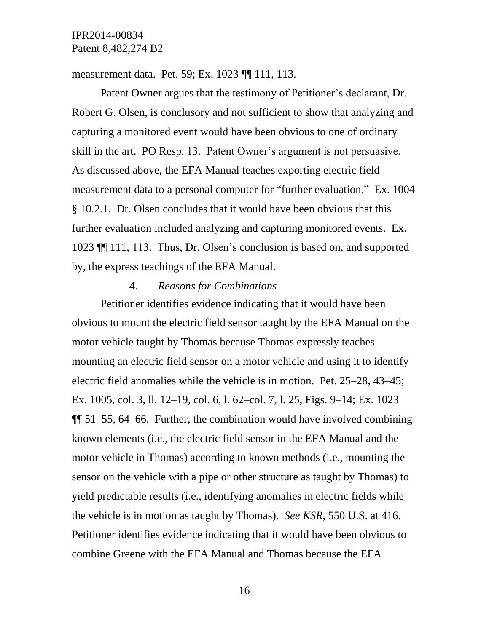measurement data. Pet. 59; Ex. 1023 ¶¶ 111, 113.

Patent Owner argues that the testimony of Petitioner's declarant, Dr. Robert G. Olsen, is conclusory and not sufficient to show that analyzing and capturing a monitored event would have been obvious to one of ordinary skill in the art. PO Resp. 13. Patent Owner's argument is not persuasive. As discussed above, the EFA Manual teaches exporting electric field measurement data to a personal computer for "further evaluation." Ex. 1004 § 10.2.1. Dr. Olsen concludes that it would have been obvious that this further evaluation included analyzing and capturing monitored events. Ex. 1023 ¶¶ 111, 113. Thus, Dr. Olsen's conclusion is based on, and supported by, the express teachings of the EFA Manual.

## 4. *Reasons for Combinations*

Petitioner identifies evidence indicating that it would have been obvious to mount the electric field sensor taught by the EFA Manual on the motor vehicle taught by Thomas because Thomas expressly teaches mounting an electric field sensor on a motor vehicle and using it to identify electric field anomalies while the vehicle is in motion. Pet. 25–28, 43–45; Ex. 1005, col. 3, ll. 12–19, col. 6, l. 62–col. 7, l. 25, Figs. 9–14; Ex. 1023 ¶¶ 51–55, 64–66. Further, the combination would have involved combining known elements (i.e., the electric field sensor in the EFA Manual and the motor vehicle in Thomas) according to known methods (i.e., mounting the sensor on the vehicle with a pipe or other structure as taught by Thomas) to yield predictable results (i.e., identifying anomalies in electric fields while the vehicle is in motion as taught by Thomas). *See KSR*, 550 U.S. at 416. Petitioner identifies evidence indicating that it would have been obvious to combine Greene with the EFA Manual and Thomas because the EFA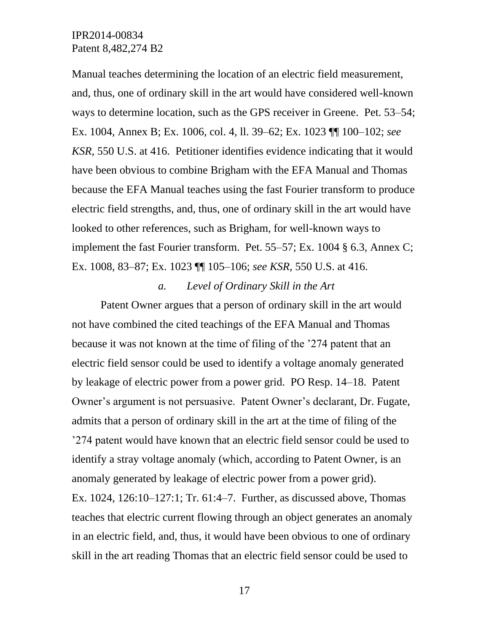Manual teaches determining the location of an electric field measurement, and, thus, one of ordinary skill in the art would have considered well-known ways to determine location, such as the GPS receiver in Greene. Pet. 53–54; Ex. 1004, Annex B; Ex. 1006, col. 4, ll. 39–62; Ex. 1023 ¶¶ 100–102; *see KSR*, 550 U.S. at 416. Petitioner identifies evidence indicating that it would have been obvious to combine Brigham with the EFA Manual and Thomas because the EFA Manual teaches using the fast Fourier transform to produce electric field strengths, and, thus, one of ordinary skill in the art would have looked to other references, such as Brigham, for well-known ways to implement the fast Fourier transform. Pet. 55–57; Ex. 1004 § 6.3, Annex C; Ex. 1008, 83–87; Ex. 1023 ¶¶ 105–106; *see KSR*, 550 U.S. at 416.

## *a. Level of Ordinary Skill in the Art*

Patent Owner argues that a person of ordinary skill in the art would not have combined the cited teachings of the EFA Manual and Thomas because it was not known at the time of filing of the '274 patent that an electric field sensor could be used to identify a voltage anomaly generated by leakage of electric power from a power grid. PO Resp. 14–18. Patent Owner's argument is not persuasive. Patent Owner's declarant, Dr. Fugate, admits that a person of ordinary skill in the art at the time of filing of the '274 patent would have known that an electric field sensor could be used to identify a stray voltage anomaly (which, according to Patent Owner, is an anomaly generated by leakage of electric power from a power grid). Ex. 1024, 126:10–127:1; Tr. 61:4–7. Further, as discussed above, Thomas teaches that electric current flowing through an object generates an anomaly in an electric field, and, thus, it would have been obvious to one of ordinary skill in the art reading Thomas that an electric field sensor could be used to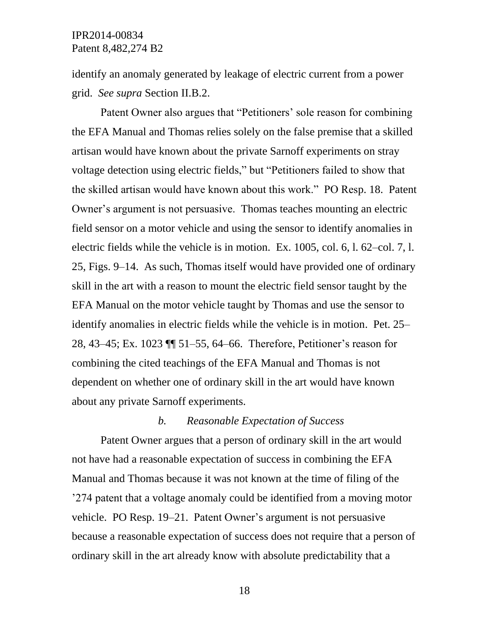identify an anomaly generated by leakage of electric current from a power grid. *See supra* Section II.B.2.

Patent Owner also argues that "Petitioners' sole reason for combining the EFA Manual and Thomas relies solely on the false premise that a skilled artisan would have known about the private Sarnoff experiments on stray voltage detection using electric fields," but "Petitioners failed to show that the skilled artisan would have known about this work." PO Resp. 18. Patent Owner's argument is not persuasive. Thomas teaches mounting an electric field sensor on a motor vehicle and using the sensor to identify anomalies in electric fields while the vehicle is in motion. Ex. 1005, col. 6, l. 62–col. 7, l. 25, Figs. 9–14. As such, Thomas itself would have provided one of ordinary skill in the art with a reason to mount the electric field sensor taught by the EFA Manual on the motor vehicle taught by Thomas and use the sensor to identify anomalies in electric fields while the vehicle is in motion. Pet. 25– 28, 43–45; Ex. 1023 ¶¶ 51–55, 64–66. Therefore, Petitioner's reason for combining the cited teachings of the EFA Manual and Thomas is not dependent on whether one of ordinary skill in the art would have known about any private Sarnoff experiments.

#### *b. Reasonable Expectation of Success*

Patent Owner argues that a person of ordinary skill in the art would not have had a reasonable expectation of success in combining the EFA Manual and Thomas because it was not known at the time of filing of the '274 patent that a voltage anomaly could be identified from a moving motor vehicle. PO Resp. 19–21. Patent Owner's argument is not persuasive because a reasonable expectation of success does not require that a person of ordinary skill in the art already know with absolute predictability that a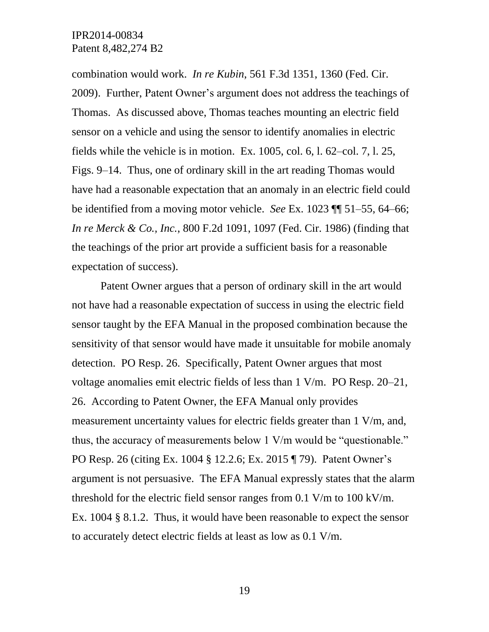combination would work. *In re Kubin*, 561 F.3d 1351, 1360 (Fed. Cir. 2009). Further, Patent Owner's argument does not address the teachings of Thomas. As discussed above, Thomas teaches mounting an electric field sensor on a vehicle and using the sensor to identify anomalies in electric fields while the vehicle is in motion. Ex. 1005, col. 6, l. 62–col. 7, l. 25, Figs. 9–14. Thus, one of ordinary skill in the art reading Thomas would have had a reasonable expectation that an anomaly in an electric field could be identified from a moving motor vehicle. *See* Ex. 1023 ¶¶ 51–55, 64–66; *In re Merck & Co., Inc.*, 800 F.2d 1091, 1097 (Fed. Cir. 1986) (finding that the teachings of the prior art provide a sufficient basis for a reasonable expectation of success).

Patent Owner argues that a person of ordinary skill in the art would not have had a reasonable expectation of success in using the electric field sensor taught by the EFA Manual in the proposed combination because the sensitivity of that sensor would have made it unsuitable for mobile anomaly detection. PO Resp. 26. Specifically, Patent Owner argues that most voltage anomalies emit electric fields of less than 1 V/m. PO Resp. 20–21, 26. According to Patent Owner, the EFA Manual only provides measurement uncertainty values for electric fields greater than 1 V/m, and, thus, the accuracy of measurements below 1 V/m would be "questionable." PO Resp. 26 (citing Ex. 1004 § 12.2.6; Ex. 2015 ¶ 79). Patent Owner's argument is not persuasive. The EFA Manual expressly states that the alarm threshold for the electric field sensor ranges from 0.1 V/m to 100 kV/m. Ex. 1004 § 8.1.2. Thus, it would have been reasonable to expect the sensor to accurately detect electric fields at least as low as 0.1 V/m.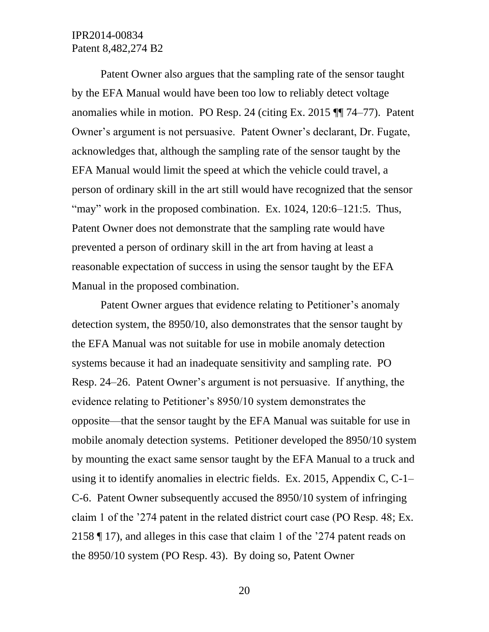Patent Owner also argues that the sampling rate of the sensor taught by the EFA Manual would have been too low to reliably detect voltage anomalies while in motion. PO Resp. 24 (citing Ex. 2015 ¶¶ 74–77). Patent Owner's argument is not persuasive. Patent Owner's declarant, Dr. Fugate, acknowledges that, although the sampling rate of the sensor taught by the EFA Manual would limit the speed at which the vehicle could travel, a person of ordinary skill in the art still would have recognized that the sensor "may" work in the proposed combination. Ex. 1024, 120:6–121:5. Thus, Patent Owner does not demonstrate that the sampling rate would have prevented a person of ordinary skill in the art from having at least a reasonable expectation of success in using the sensor taught by the EFA Manual in the proposed combination.

Patent Owner argues that evidence relating to Petitioner's anomaly detection system, the 8950/10, also demonstrates that the sensor taught by the EFA Manual was not suitable for use in mobile anomaly detection systems because it had an inadequate sensitivity and sampling rate. PO Resp. 24–26. Patent Owner's argument is not persuasive. If anything, the evidence relating to Petitioner's 8950/10 system demonstrates the opposite—that the sensor taught by the EFA Manual was suitable for use in mobile anomaly detection systems. Petitioner developed the 8950/10 system by mounting the exact same sensor taught by the EFA Manual to a truck and using it to identify anomalies in electric fields. Ex. 2015, Appendix C, C-1– C-6. Patent Owner subsequently accused the 8950/10 system of infringing claim 1 of the '274 patent in the related district court case (PO Resp. 48; Ex. 2158 ¶ 17), and alleges in this case that claim 1 of the '274 patent reads on the 8950/10 system (PO Resp. 43). By doing so, Patent Owner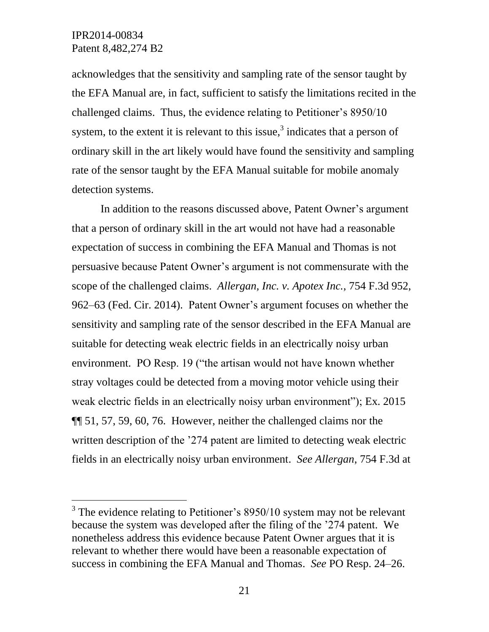l

acknowledges that the sensitivity and sampling rate of the sensor taught by the EFA Manual are, in fact, sufficient to satisfy the limitations recited in the challenged claims. Thus, the evidence relating to Petitioner's 8950/10 system, to the extent it is relevant to this issue, $3$  indicates that a person of ordinary skill in the art likely would have found the sensitivity and sampling rate of the sensor taught by the EFA Manual suitable for mobile anomaly detection systems.

In addition to the reasons discussed above, Patent Owner's argument that a person of ordinary skill in the art would not have had a reasonable expectation of success in combining the EFA Manual and Thomas is not persuasive because Patent Owner's argument is not commensurate with the scope of the challenged claims. *Allergan, Inc. v. Apotex Inc.*, 754 F.3d 952, 962–63 (Fed. Cir. 2014). Patent Owner's argument focuses on whether the sensitivity and sampling rate of the sensor described in the EFA Manual are suitable for detecting weak electric fields in an electrically noisy urban environment. PO Resp. 19 ("the artisan would not have known whether stray voltages could be detected from a moving motor vehicle using their weak electric fields in an electrically noisy urban environment"); Ex. 2015 ¶¶ 51, 57, 59, 60, 76. However, neither the challenged claims nor the written description of the '274 patent are limited to detecting weak electric fields in an electrically noisy urban environment. *See Allergan*, 754 F.3d at

 $3$  The evidence relating to Petitioner's 8950/10 system may not be relevant because the system was developed after the filing of the '274 patent. We nonetheless address this evidence because Patent Owner argues that it is relevant to whether there would have been a reasonable expectation of success in combining the EFA Manual and Thomas. *See* PO Resp. 24–26.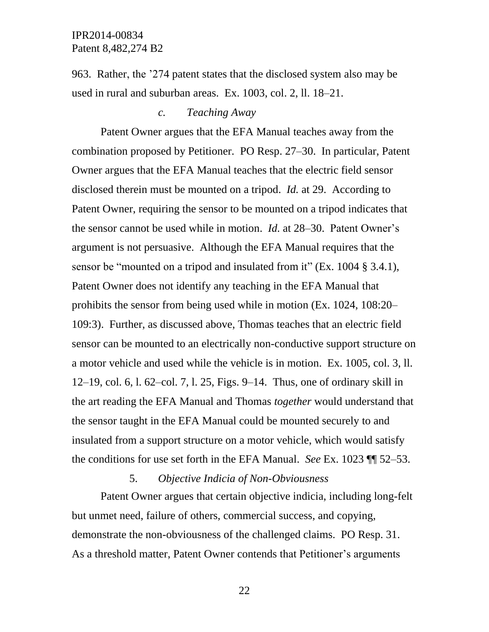963. Rather, the '274 patent states that the disclosed system also may be used in rural and suburban areas. Ex. 1003, col. 2, ll. 18–21.

### *c. Teaching Away*

Patent Owner argues that the EFA Manual teaches away from the combination proposed by Petitioner. PO Resp. 27–30. In particular, Patent Owner argues that the EFA Manual teaches that the electric field sensor disclosed therein must be mounted on a tripod. *Id.* at 29. According to Patent Owner, requiring the sensor to be mounted on a tripod indicates that the sensor cannot be used while in motion. *Id.* at 28–30. Patent Owner's argument is not persuasive. Although the EFA Manual requires that the sensor be "mounted on a tripod and insulated from it" (Ex. 1004 § 3.4.1), Patent Owner does not identify any teaching in the EFA Manual that prohibits the sensor from being used while in motion (Ex. 1024, 108:20– 109:3). Further, as discussed above, Thomas teaches that an electric field sensor can be mounted to an electrically non-conductive support structure on a motor vehicle and used while the vehicle is in motion. Ex. 1005, col. 3, ll. 12–19, col. 6, l. 62–col. 7, l. 25, Figs. 9–14. Thus, one of ordinary skill in the art reading the EFA Manual and Thomas *together* would understand that the sensor taught in the EFA Manual could be mounted securely to and insulated from a support structure on a motor vehicle, which would satisfy the conditions for use set forth in the EFA Manual. *See* Ex. 1023 ¶¶ 52–53.

## 5. *Objective Indicia of Non-Obviousness*

Patent Owner argues that certain objective indicia, including long-felt but unmet need, failure of others, commercial success, and copying, demonstrate the non-obviousness of the challenged claims. PO Resp. 31. As a threshold matter, Patent Owner contends that Petitioner's arguments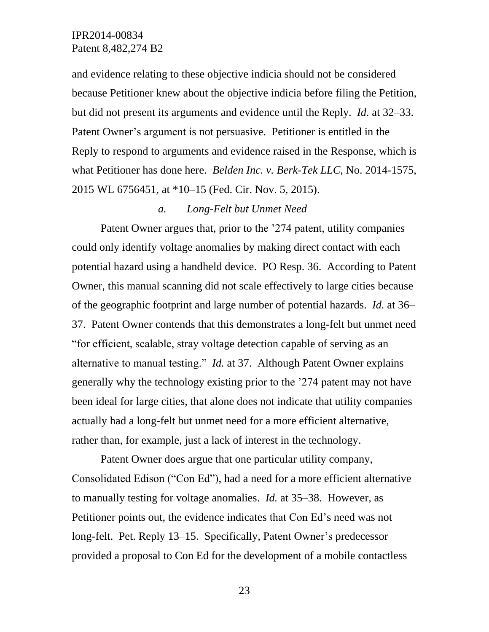and evidence relating to these objective indicia should not be considered because Petitioner knew about the objective indicia before filing the Petition, but did not present its arguments and evidence until the Reply. *Id.* at 32–33. Patent Owner's argument is not persuasive. Petitioner is entitled in the Reply to respond to arguments and evidence raised in the Response, which is what Petitioner has done here. *Belden Inc. v. Berk-Tek LLC*, No. 2014-1575, 2015 WL 6756451, at \*10–15 (Fed. Cir. Nov. 5, 2015).

#### *a. Long-Felt but Unmet Need*

Patent Owner argues that, prior to the '274 patent, utility companies could only identify voltage anomalies by making direct contact with each potential hazard using a handheld device. PO Resp. 36. According to Patent Owner, this manual scanning did not scale effectively to large cities because of the geographic footprint and large number of potential hazards. *Id.* at 36– 37. Patent Owner contends that this demonstrates a long-felt but unmet need "for efficient, scalable, stray voltage detection capable of serving as an alternative to manual testing." *Id.* at 37. Although Patent Owner explains generally why the technology existing prior to the '274 patent may not have been ideal for large cities, that alone does not indicate that utility companies actually had a long-felt but unmet need for a more efficient alternative, rather than, for example, just a lack of interest in the technology.

Patent Owner does argue that one particular utility company, Consolidated Edison ("Con Ed"), had a need for a more efficient alternative to manually testing for voltage anomalies. *Id.* at 35–38. However, as Petitioner points out, the evidence indicates that Con Ed's need was not long-felt. Pet. Reply 13–15. Specifically, Patent Owner's predecessor provided a proposal to Con Ed for the development of a mobile contactless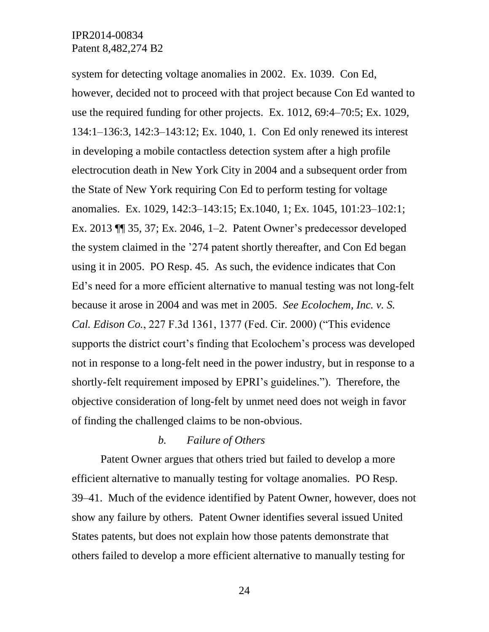system for detecting voltage anomalies in 2002. Ex. 1039. Con Ed, however, decided not to proceed with that project because Con Ed wanted to use the required funding for other projects. Ex. 1012, 69:4–70:5; Ex. 1029, 134:1–136:3, 142:3–143:12; Ex. 1040, 1. Con Ed only renewed its interest in developing a mobile contactless detection system after a high profile electrocution death in New York City in 2004 and a subsequent order from the State of New York requiring Con Ed to perform testing for voltage anomalies. Ex. 1029, 142:3–143:15; Ex.1040, 1; Ex. 1045, 101:23–102:1; Ex. 2013 ¶¶ 35, 37; Ex. 2046, 1–2. Patent Owner's predecessor developed the system claimed in the '274 patent shortly thereafter, and Con Ed began using it in 2005. PO Resp. 45. As such, the evidence indicates that Con Ed's need for a more efficient alternative to manual testing was not long-felt because it arose in 2004 and was met in 2005. *See Ecolochem, Inc. v. S. Cal. Edison Co.*, 227 F.3d 1361, 1377 (Fed. Cir. 2000) ("This evidence supports the district court's finding that Ecolochem's process was developed not in response to a long-felt need in the power industry, but in response to a shortly-felt requirement imposed by EPRI's guidelines."). Therefore, the objective consideration of long-felt by unmet need does not weigh in favor of finding the challenged claims to be non-obvious.

## *b. Failure of Others*

Patent Owner argues that others tried but failed to develop a more efficient alternative to manually testing for voltage anomalies. PO Resp. 39–41. Much of the evidence identified by Patent Owner, however, does not show any failure by others. Patent Owner identifies several issued United States patents, but does not explain how those patents demonstrate that others failed to develop a more efficient alternative to manually testing for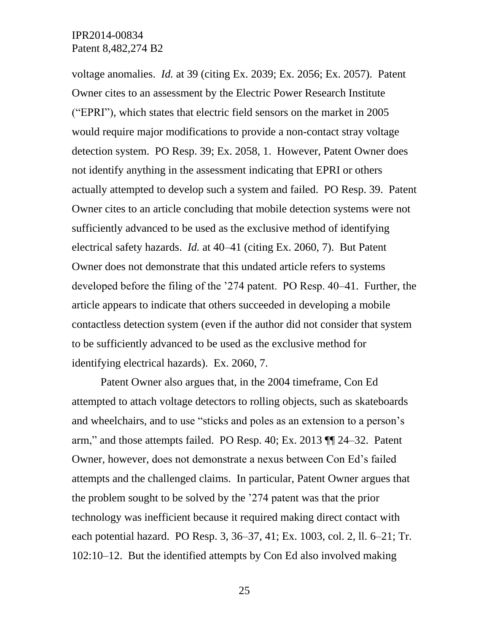voltage anomalies. *Id.* at 39 (citing Ex. 2039; Ex. 2056; Ex. 2057). Patent Owner cites to an assessment by the Electric Power Research Institute ("EPRI"), which states that electric field sensors on the market in 2005 would require major modifications to provide a non-contact stray voltage detection system. PO Resp. 39; Ex. 2058, 1. However, Patent Owner does not identify anything in the assessment indicating that EPRI or others actually attempted to develop such a system and failed. PO Resp. 39. Patent Owner cites to an article concluding that mobile detection systems were not sufficiently advanced to be used as the exclusive method of identifying electrical safety hazards. *Id.* at 40–41 (citing Ex. 2060, 7). But Patent Owner does not demonstrate that this undated article refers to systems developed before the filing of the '274 patent. PO Resp. 40–41. Further, the article appears to indicate that others succeeded in developing a mobile contactless detection system (even if the author did not consider that system to be sufficiently advanced to be used as the exclusive method for identifying electrical hazards). Ex. 2060, 7.

Patent Owner also argues that, in the 2004 timeframe, Con Ed attempted to attach voltage detectors to rolling objects, such as skateboards and wheelchairs, and to use "sticks and poles as an extension to a person's arm," and those attempts failed. PO Resp. 40; Ex. 2013 ¶¶ 24–32. Patent Owner, however, does not demonstrate a nexus between Con Ed's failed attempts and the challenged claims. In particular, Patent Owner argues that the problem sought to be solved by the '274 patent was that the prior technology was inefficient because it required making direct contact with each potential hazard. PO Resp. 3, 36–37, 41; Ex. 1003, col. 2, ll. 6–21; Tr. 102:10–12. But the identified attempts by Con Ed also involved making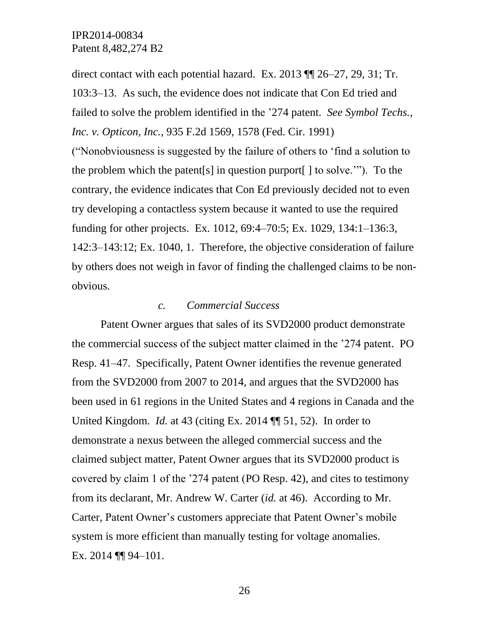direct contact with each potential hazard. Ex. 2013 ¶¶ 26–27, 29, 31; Tr. 103:3–13. As such, the evidence does not indicate that Con Ed tried and failed to solve the problem identified in the '274 patent. *See Symbol Techs., Inc. v. Opticon, Inc.*, 935 F.2d 1569, 1578 (Fed. Cir. 1991) ("Nonobviousness is suggested by the failure of others to 'find a solution to the problem which the patent[s] in question purport[ ] to solve.'"). To the contrary, the evidence indicates that Con Ed previously decided not to even try developing a contactless system because it wanted to use the required funding for other projects. Ex. 1012, 69:4–70:5; Ex. 1029, 134:1–136:3, 142:3–143:12; Ex. 1040, 1. Therefore, the objective consideration of failure by others does not weigh in favor of finding the challenged claims to be nonobvious.

#### *c. Commercial Success*

Patent Owner argues that sales of its SVD2000 product demonstrate the commercial success of the subject matter claimed in the '274 patent. PO Resp. 41–47. Specifically, Patent Owner identifies the revenue generated from the SVD2000 from 2007 to 2014, and argues that the SVD2000 has been used in 61 regions in the United States and 4 regions in Canada and the United Kingdom. *Id.* at 43 (citing Ex. 2014 ¶¶ 51, 52). In order to demonstrate a nexus between the alleged commercial success and the claimed subject matter, Patent Owner argues that its SVD2000 product is covered by claim 1 of the '274 patent (PO Resp. 42), and cites to testimony from its declarant, Mr. Andrew W. Carter (*id.* at 46). According to Mr. Carter, Patent Owner's customers appreciate that Patent Owner's mobile system is more efficient than manually testing for voltage anomalies. Ex. 2014 ¶¶ 94–101.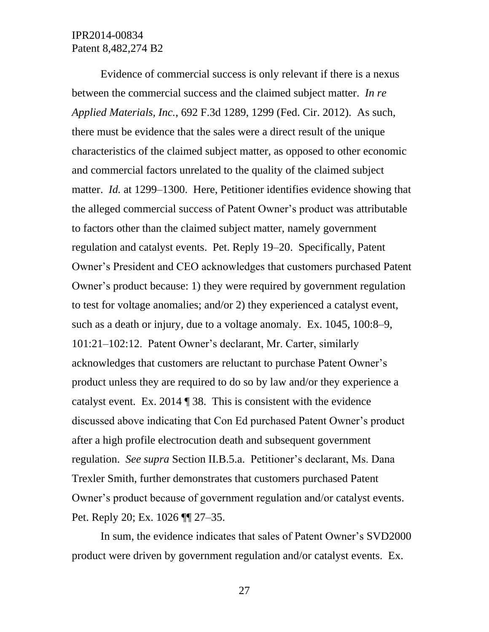Evidence of commercial success is only relevant if there is a nexus between the commercial success and the claimed subject matter. *In re Applied Materials, Inc.*, 692 F.3d 1289, 1299 (Fed. Cir. 2012). As such, there must be evidence that the sales were a direct result of the unique characteristics of the claimed subject matter, as opposed to other economic and commercial factors unrelated to the quality of the claimed subject matter. *Id.* at 1299–1300. Here, Petitioner identifies evidence showing that the alleged commercial success of Patent Owner's product was attributable to factors other than the claimed subject matter, namely government regulation and catalyst events. Pet. Reply 19–20. Specifically, Patent Owner's President and CEO acknowledges that customers purchased Patent Owner's product because: 1) they were required by government regulation to test for voltage anomalies; and/or 2) they experienced a catalyst event, such as a death or injury, due to a voltage anomaly. Ex. 1045, 100:8–9, 101:21–102:12. Patent Owner's declarant, Mr. Carter, similarly acknowledges that customers are reluctant to purchase Patent Owner's product unless they are required to do so by law and/or they experience a catalyst event. Ex. 2014 ¶ 38. This is consistent with the evidence discussed above indicating that Con Ed purchased Patent Owner's product after a high profile electrocution death and subsequent government regulation. *See supra* Section II.B.5.a. Petitioner's declarant, Ms. Dana Trexler Smith, further demonstrates that customers purchased Patent Owner's product because of government regulation and/or catalyst events. Pet. Reply 20; Ex. 1026 ¶¶ 27–35.

In sum, the evidence indicates that sales of Patent Owner's SVD2000 product were driven by government regulation and/or catalyst events. Ex.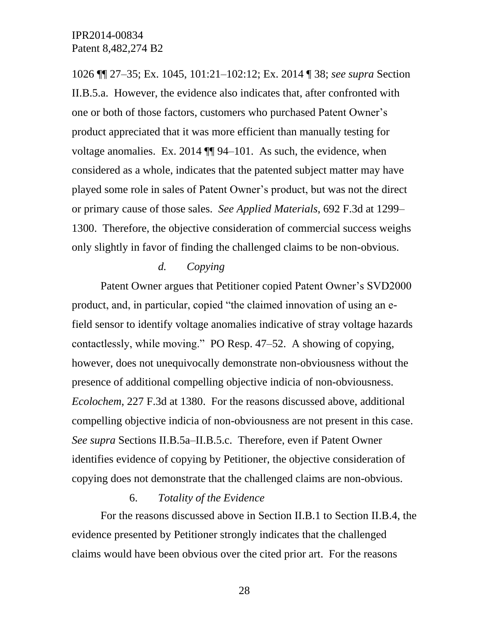1026 ¶¶ 27–35; Ex. 1045, 101:21–102:12; Ex. 2014 ¶ 38; *see supra* Section II.B.5.a. However, the evidence also indicates that, after confronted with one or both of those factors, customers who purchased Patent Owner's product appreciated that it was more efficient than manually testing for voltage anomalies. Ex. 2014 ¶¶ 94–101. As such, the evidence, when considered as a whole, indicates that the patented subject matter may have played some role in sales of Patent Owner's product, but was not the direct or primary cause of those sales. *See Applied Materials*, 692 F.3d at 1299– 1300. Therefore, the objective consideration of commercial success weighs only slightly in favor of finding the challenged claims to be non-obvious.

### *d. Copying*

Patent Owner argues that Petitioner copied Patent Owner's SVD2000 product, and, in particular, copied "the claimed innovation of using an efield sensor to identify voltage anomalies indicative of stray voltage hazards contactlessly, while moving." PO Resp. 47–52. A showing of copying, however, does not unequivocally demonstrate non-obviousness without the presence of additional compelling objective indicia of non-obviousness. *Ecolochem*, 227 F.3d at 1380. For the reasons discussed above, additional compelling objective indicia of non-obviousness are not present in this case. *See supra* Sections II.B.5a–II.B.5.c. Therefore, even if Patent Owner identifies evidence of copying by Petitioner, the objective consideration of copying does not demonstrate that the challenged claims are non-obvious.

### 6. *Totality of the Evidence*

For the reasons discussed above in Section II.B.1 to Section II.B.4, the evidence presented by Petitioner strongly indicates that the challenged claims would have been obvious over the cited prior art. For the reasons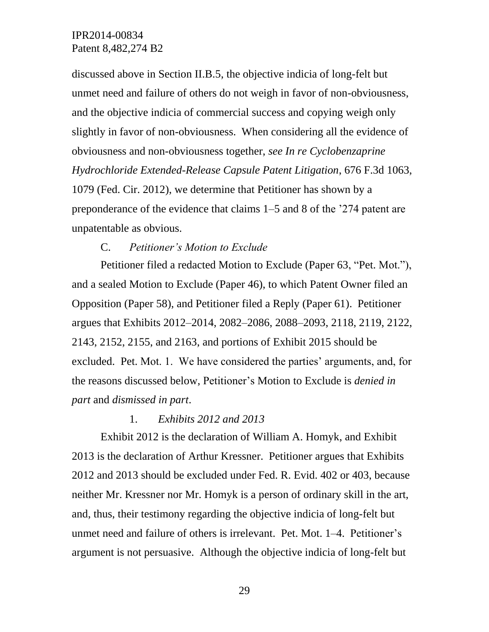discussed above in Section II.B.5, the objective indicia of long-felt but unmet need and failure of others do not weigh in favor of non-obviousness, and the objective indicia of commercial success and copying weigh only slightly in favor of non-obviousness. When considering all the evidence of obviousness and non-obviousness together, *see In re Cyclobenzaprine Hydrochloride Extended-Release Capsule Patent Litigation*, 676 F.3d 1063, 1079 (Fed. Cir. 2012), we determine that Petitioner has shown by a preponderance of the evidence that claims 1–5 and 8 of the '274 patent are unpatentable as obvious.

### C. *Petitioner's Motion to Exclude*

Petitioner filed a redacted Motion to Exclude (Paper 63, "Pet. Mot."), and a sealed Motion to Exclude (Paper 46), to which Patent Owner filed an Opposition (Paper 58), and Petitioner filed a Reply (Paper 61). Petitioner argues that Exhibits 2012–2014, 2082–2086, 2088–2093, 2118, 2119, 2122, 2143, 2152, 2155, and 2163, and portions of Exhibit 2015 should be excluded. Pet. Mot. 1. We have considered the parties' arguments, and, for the reasons discussed below, Petitioner's Motion to Exclude is *denied in part* and *dismissed in part*.

### 1. *Exhibits 2012 and 2013*

Exhibit 2012 is the declaration of William A. Homyk, and Exhibit 2013 is the declaration of Arthur Kressner. Petitioner argues that Exhibits 2012 and 2013 should be excluded under Fed. R. Evid. 402 or 403, because neither Mr. Kressner nor Mr. Homyk is a person of ordinary skill in the art, and, thus, their testimony regarding the objective indicia of long-felt but unmet need and failure of others is irrelevant. Pet. Mot. 1–4. Petitioner's argument is not persuasive. Although the objective indicia of long-felt but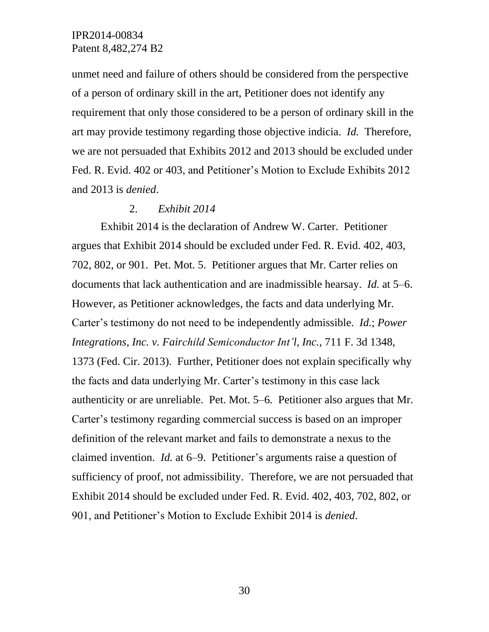unmet need and failure of others should be considered from the perspective of a person of ordinary skill in the art, Petitioner does not identify any requirement that only those considered to be a person of ordinary skill in the art may provide testimony regarding those objective indicia. *Id.* Therefore, we are not persuaded that Exhibits 2012 and 2013 should be excluded under Fed. R. Evid. 402 or 403, and Petitioner's Motion to Exclude Exhibits 2012 and 2013 is *denied*.

### 2. *Exhibit 2014*

Exhibit 2014 is the declaration of Andrew W. Carter. Petitioner argues that Exhibit 2014 should be excluded under Fed. R. Evid. 402, 403, 702, 802, or 901. Pet. Mot. 5. Petitioner argues that Mr. Carter relies on documents that lack authentication and are inadmissible hearsay. *Id.* at 5–6. However, as Petitioner acknowledges, the facts and data underlying Mr. Carter's testimony do not need to be independently admissible. *Id.*; *Power Integrations, Inc. v. Fairchild Semiconductor Int'l, Inc.*, 711 F. 3d 1348, 1373 (Fed. Cir. 2013). Further, Petitioner does not explain specifically why the facts and data underlying Mr. Carter's testimony in this case lack authenticity or are unreliable. Pet. Mot. 5–6. Petitioner also argues that Mr. Carter's testimony regarding commercial success is based on an improper definition of the relevant market and fails to demonstrate a nexus to the claimed invention. *Id.* at 6–9. Petitioner's arguments raise a question of sufficiency of proof, not admissibility. Therefore, we are not persuaded that Exhibit 2014 should be excluded under Fed. R. Evid. 402, 403, 702, 802, or 901, and Petitioner's Motion to Exclude Exhibit 2014 is *denied*.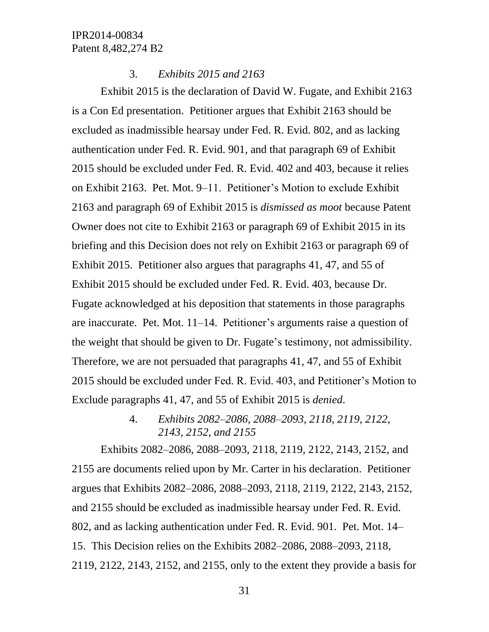### 3. *Exhibits 2015 and 2163*

Exhibit 2015 is the declaration of David W. Fugate, and Exhibit 2163 is a Con Ed presentation. Petitioner argues that Exhibit 2163 should be excluded as inadmissible hearsay under Fed. R. Evid. 802, and as lacking authentication under Fed. R. Evid. 901, and that paragraph 69 of Exhibit 2015 should be excluded under Fed. R. Evid. 402 and 403, because it relies on Exhibit 2163. Pet. Mot. 9–11. Petitioner's Motion to exclude Exhibit 2163 and paragraph 69 of Exhibit 2015 is *dismissed as moot* because Patent Owner does not cite to Exhibit 2163 or paragraph 69 of Exhibit 2015 in its briefing and this Decision does not rely on Exhibit 2163 or paragraph 69 of Exhibit 2015. Petitioner also argues that paragraphs 41, 47, and 55 of Exhibit 2015 should be excluded under Fed. R. Evid. 403, because Dr. Fugate acknowledged at his deposition that statements in those paragraphs are inaccurate. Pet. Mot. 11–14.Petitioner's arguments raise a question of the weight that should be given to Dr. Fugate's testimony, not admissibility. Therefore, we are not persuaded that paragraphs 41, 47, and 55 of Exhibit 2015 should be excluded under Fed. R. Evid. 403, and Petitioner's Motion to Exclude paragraphs 41, 47, and 55 of Exhibit 2015 is *denied*.

# 4. *Exhibits 2082–2086, 2088–2093, 2118, 2119, 2122, 2143, 2152, and 2155*

Exhibits 2082–2086, 2088–2093, 2118, 2119, 2122, 2143, 2152, and 2155 are documents relied upon by Mr. Carter in his declaration. Petitioner argues that Exhibits 2082–2086, 2088–2093, 2118, 2119, 2122, 2143, 2152, and 2155 should be excluded as inadmissible hearsay under Fed. R. Evid. 802, and as lacking authentication under Fed. R. Evid. 901. Pet. Mot. 14– 15. This Decision relies on the Exhibits 2082–2086, 2088–2093, 2118, 2119, 2122, 2143, 2152, and 2155, only to the extent they provide a basis for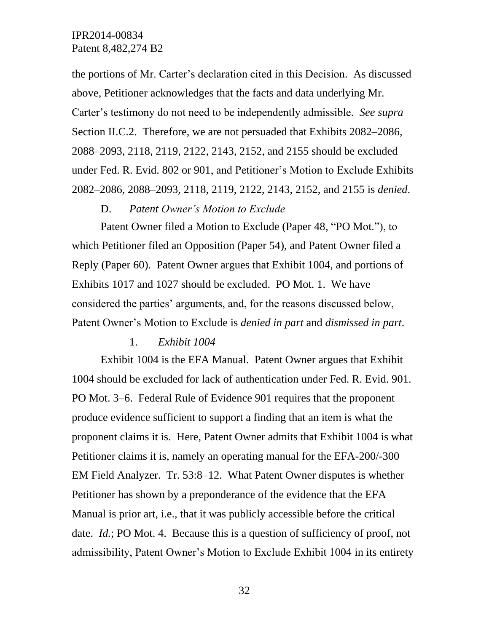the portions of Mr. Carter's declaration cited in this Decision. As discussed above, Petitioner acknowledges that the facts and data underlying Mr. Carter's testimony do not need to be independently admissible. *See supra* Section II.C.2. Therefore, we are not persuaded that Exhibits 2082–2086, 2088–2093, 2118, 2119, 2122, 2143, 2152, and 2155 should be excluded under Fed. R. Evid. 802 or 901, and Petitioner's Motion to Exclude Exhibits 2082–2086, 2088–2093, 2118, 2119, 2122, 2143, 2152, and 2155 is *denied*.

### D. *Patent Owner's Motion to Exclude*

Patent Owner filed a Motion to Exclude (Paper 48, "PO Mot."), to which Petitioner filed an Opposition (Paper 54), and Patent Owner filed a Reply (Paper 60). Patent Owner argues that Exhibit 1004, and portions of Exhibits 1017 and 1027 should be excluded. PO Mot. 1. We have considered the parties' arguments, and, for the reasons discussed below, Patent Owner's Motion to Exclude is *denied in part* and *dismissed in part*.

### 1. *Exhibit 1004*

Exhibit 1004 is the EFA Manual. Patent Owner argues that Exhibit 1004 should be excluded for lack of authentication under Fed. R. Evid. 901. PO Mot. 3–6. Federal Rule of Evidence 901 requires that the proponent produce evidence sufficient to support a finding that an item is what the proponent claims it is. Here, Patent Owner admits that Exhibit 1004 is what Petitioner claims it is, namely an operating manual for the EFA-200/-300 EM Field Analyzer. Tr. 53:8–12. What Patent Owner disputes is whether Petitioner has shown by a preponderance of the evidence that the EFA Manual is prior art, i.e., that it was publicly accessible before the critical date. *Id.*; PO Mot. 4. Because this is a question of sufficiency of proof, not admissibility, Patent Owner's Motion to Exclude Exhibit 1004 in its entirety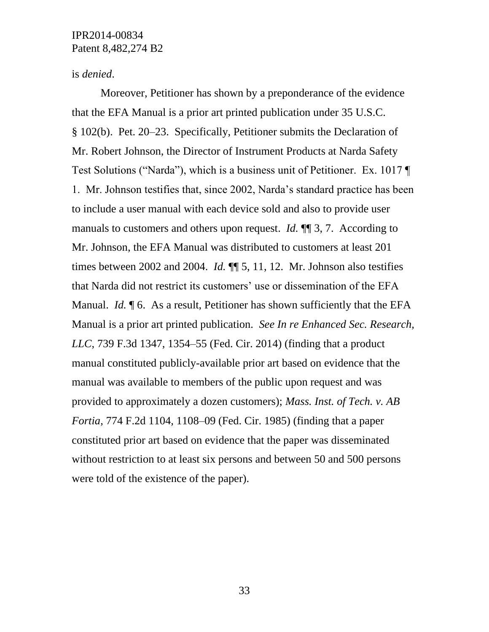### is *denied*.

Moreover, Petitioner has shown by a preponderance of the evidence that the EFA Manual is a prior art printed publication under 35 U.S.C. § 102(b). Pet. 20–23. Specifically, Petitioner submits the Declaration of Mr. Robert Johnson, the Director of Instrument Products at Narda Safety Test Solutions ("Narda"), which is a business unit of Petitioner. Ex. 1017 ¶ 1. Mr. Johnson testifies that, since 2002, Narda's standard practice has been to include a user manual with each device sold and also to provide user manuals to customers and others upon request. *Id.* ¶¶ 3, 7. According to Mr. Johnson, the EFA Manual was distributed to customers at least 201 times between 2002 and 2004. *Id.* ¶¶ 5, 11, 12. Mr. Johnson also testifies that Narda did not restrict its customers' use or dissemination of the EFA Manual. *Id.* ¶ 6. As a result, Petitioner has shown sufficiently that the EFA Manual is a prior art printed publication. *See In re Enhanced Sec. Research, LLC*, 739 F.3d 1347, 1354–55 (Fed. Cir. 2014) (finding that a product manual constituted publicly-available prior art based on evidence that the manual was available to members of the public upon request and was provided to approximately a dozen customers); *Mass. Inst. of Tech. v. AB Fortia*, 774 F.2d 1104, 1108–09 (Fed. Cir. 1985) (finding that a paper constituted prior art based on evidence that the paper was disseminated without restriction to at least six persons and between 50 and 500 persons were told of the existence of the paper).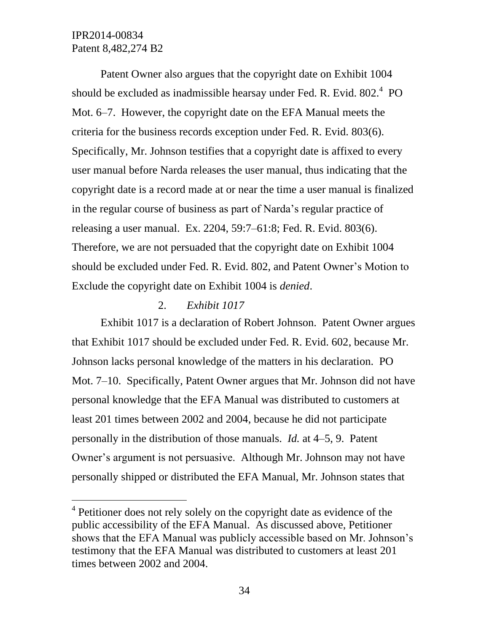l

Patent Owner also argues that the copyright date on Exhibit 1004 should be excluded as inadmissible hearsay under Fed. R. Evid.  $802.^4$  PO Mot. 6–7. However, the copyright date on the EFA Manual meets the criteria for the business records exception under Fed. R. Evid. 803(6). Specifically, Mr. Johnson testifies that a copyright date is affixed to every user manual before Narda releases the user manual, thus indicating that the copyright date is a record made at or near the time a user manual is finalized in the regular course of business as part of Narda's regular practice of releasing a user manual. Ex. 2204, 59:7–61:8; Fed. R. Evid. 803(6). Therefore, we are not persuaded that the copyright date on Exhibit 1004 should be excluded under Fed. R. Evid. 802, and Patent Owner's Motion to Exclude the copyright date on Exhibit 1004 is *denied*.

## 2. *Exhibit 1017*

Exhibit 1017 is a declaration of Robert Johnson. Patent Owner argues that Exhibit 1017 should be excluded under Fed. R. Evid. 602, because Mr. Johnson lacks personal knowledge of the matters in his declaration. PO Mot. 7–10. Specifically, Patent Owner argues that Mr. Johnson did not have personal knowledge that the EFA Manual was distributed to customers at least 201 times between 2002 and 2004, because he did not participate personally in the distribution of those manuals. *Id.* at 4–5, 9. Patent Owner's argument is not persuasive. Although Mr. Johnson may not have personally shipped or distributed the EFA Manual, Mr. Johnson states that

<sup>&</sup>lt;sup>4</sup> Petitioner does not rely solely on the copyright date as evidence of the public accessibility of the EFA Manual. As discussed above, Petitioner shows that the EFA Manual was publicly accessible based on Mr. Johnson's testimony that the EFA Manual was distributed to customers at least 201 times between 2002 and 2004.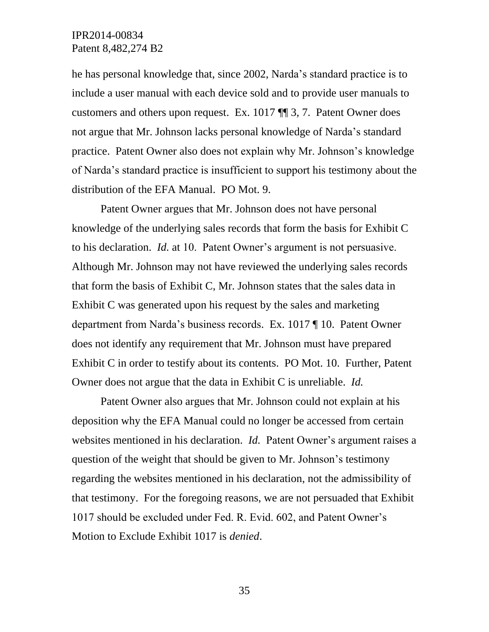he has personal knowledge that, since 2002, Narda's standard practice is to include a user manual with each device sold and to provide user manuals to customers and others upon request. Ex. 1017 ¶¶ 3, 7. Patent Owner does not argue that Mr. Johnson lacks personal knowledge of Narda's standard practice. Patent Owner also does not explain why Mr. Johnson's knowledge of Narda's standard practice is insufficient to support his testimony about the distribution of the EFA Manual. PO Mot. 9.

Patent Owner argues that Mr. Johnson does not have personal knowledge of the underlying sales records that form the basis for Exhibit C to his declaration. *Id.* at 10. Patent Owner's argument is not persuasive. Although Mr. Johnson may not have reviewed the underlying sales records that form the basis of Exhibit C, Mr. Johnson states that the sales data in Exhibit C was generated upon his request by the sales and marketing department from Narda's business records. Ex. 1017 ¶ 10. Patent Owner does not identify any requirement that Mr. Johnson must have prepared Exhibit C in order to testify about its contents. PO Mot. 10. Further, Patent Owner does not argue that the data in Exhibit C is unreliable. *Id.*

Patent Owner also argues that Mr. Johnson could not explain at his deposition why the EFA Manual could no longer be accessed from certain websites mentioned in his declaration. *Id.* Patent Owner's argument raises a question of the weight that should be given to Mr. Johnson's testimony regarding the websites mentioned in his declaration, not the admissibility of that testimony. For the foregoing reasons, we are not persuaded that Exhibit 1017 should be excluded under Fed. R. Evid. 602, and Patent Owner's Motion to Exclude Exhibit 1017 is *denied*.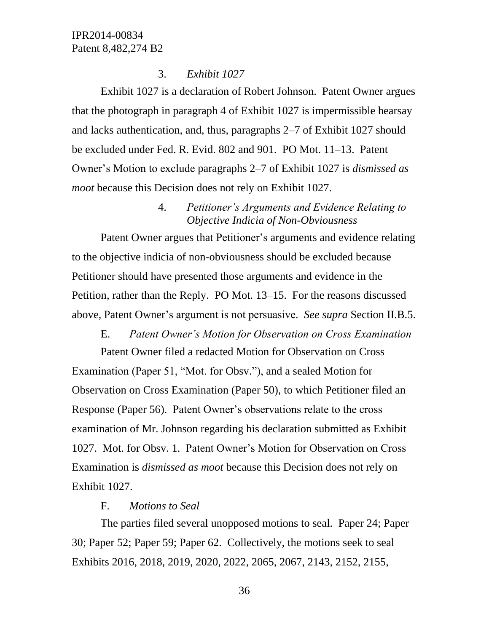## 3. *Exhibit 1027*

Exhibit 1027 is a declaration of Robert Johnson. Patent Owner argues that the photograph in paragraph 4 of Exhibit 1027 is impermissible hearsay and lacks authentication, and, thus, paragraphs 2–7 of Exhibit 1027 should be excluded under Fed. R. Evid. 802 and 901. PO Mot. 11–13. Patent Owner's Motion to exclude paragraphs 2–7 of Exhibit 1027 is *dismissed as moot* because this Decision does not rely on Exhibit 1027.

# 4. *Petitioner's Arguments and Evidence Relating to Objective Indicia of Non-Obviousness*

Patent Owner argues that Petitioner's arguments and evidence relating to the objective indicia of non-obviousness should be excluded because Petitioner should have presented those arguments and evidence in the Petition, rather than the Reply. PO Mot. 13–15. For the reasons discussed above, Patent Owner's argument is not persuasive. *See supra* Section II.B.5.

## E. *Patent Owner's Motion for Observation on Cross Examination*

Patent Owner filed a redacted Motion for Observation on Cross Examination (Paper 51, "Mot. for Obsv."), and a sealed Motion for Observation on Cross Examination (Paper 50), to which Petitioner filed an Response (Paper 56). Patent Owner's observations relate to the cross examination of Mr. Johnson regarding his declaration submitted as Exhibit 1027. Mot. for Obsv. 1. Patent Owner's Motion for Observation on Cross Examination is *dismissed as moot* because this Decision does not rely on Exhibit 1027.

# F. *Motions to Seal*

The parties filed several unopposed motions to seal. Paper 24; Paper 30; Paper 52; Paper 59; Paper 62. Collectively, the motions seek to seal Exhibits 2016, 2018, 2019, 2020, 2022, 2065, 2067, 2143, 2152, 2155,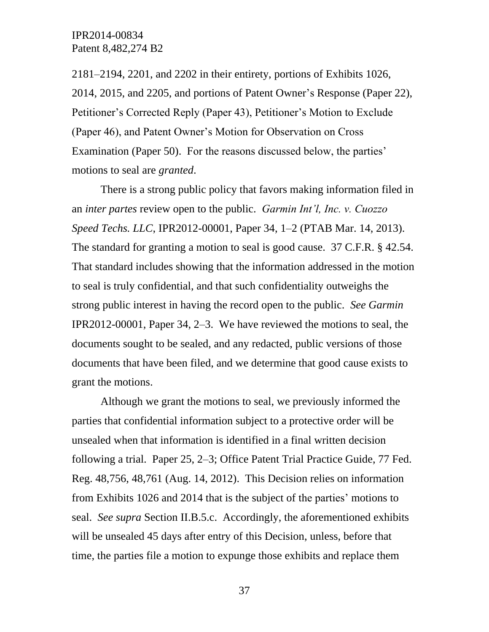2181–2194, 2201, and 2202 in their entirety, portions of Exhibits 1026, 2014, 2015, and 2205, and portions of Patent Owner's Response (Paper 22), Petitioner's Corrected Reply (Paper 43), Petitioner's Motion to Exclude (Paper 46), and Patent Owner's Motion for Observation on Cross Examination (Paper 50). For the reasons discussed below, the parties' motions to seal are *granted*.

There is a strong public policy that favors making information filed in an *inter partes* review open to the public. *Garmin Int'l, Inc. v. Cuozzo Speed Techs. LLC*, IPR2012-00001, Paper 34, 1–2 (PTAB Mar. 14, 2013). The standard for granting a motion to seal is good cause. 37 C.F.R. § 42.54. That standard includes showing that the information addressed in the motion to seal is truly confidential, and that such confidentiality outweighs the strong public interest in having the record open to the public. *See Garmin* IPR2012-00001, Paper 34, 2–3. We have reviewed the motions to seal, the documents sought to be sealed, and any redacted, public versions of those documents that have been filed, and we determine that good cause exists to grant the motions.

Although we grant the motions to seal, we previously informed the parties that confidential information subject to a protective order will be unsealed when that information is identified in a final written decision following a trial. Paper 25, 2–3; Office Patent Trial Practice Guide, 77 Fed. Reg. 48,756, 48,761 (Aug. 14, 2012). This Decision relies on information from Exhibits 1026 and 2014 that is the subject of the parties' motions to seal. *See supra* Section II.B.5.c. Accordingly, the aforementioned exhibits will be unsealed 45 days after entry of this Decision, unless, before that time, the parties file a motion to expunge those exhibits and replace them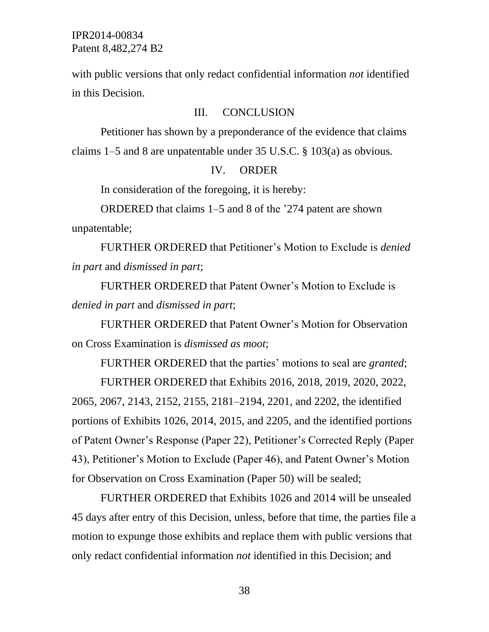with public versions that only redact confidential information *not* identified in this Decision.

#### III. CONCLUSION

Petitioner has shown by a preponderance of the evidence that claims claims 1–5 and 8 are unpatentable under 35 U.S.C. § 103(a) as obvious*.*

### IV. ORDER

In consideration of the foregoing, it is hereby:

ORDERED that claims 1–5 and 8 of the '274 patent are shown unpatentable;

FURTHER ORDERED that Petitioner's Motion to Exclude is *denied in part* and *dismissed in part*;

FURTHER ORDERED that Patent Owner's Motion to Exclude is *denied in part* and *dismissed in part*;

FURTHER ORDERED that Patent Owner's Motion for Observation on Cross Examination is *dismissed as moot*;

FURTHER ORDERED that the parties' motions to seal are *granted*;

FURTHER ORDERED that Exhibits 2016, 2018, 2019, 2020, 2022, 2065, 2067, 2143, 2152, 2155, 2181–2194, 2201, and 2202, the identified portions of Exhibits 1026, 2014, 2015, and 2205, and the identified portions of Patent Owner's Response (Paper 22), Petitioner's Corrected Reply (Paper 43), Petitioner's Motion to Exclude (Paper 46), and Patent Owner's Motion for Observation on Cross Examination (Paper 50) will be sealed;

FURTHER ORDERED that Exhibits 1026 and 2014 will be unsealed 45 days after entry of this Decision, unless, before that time, the parties file a motion to expunge those exhibits and replace them with public versions that only redact confidential information *not* identified in this Decision; and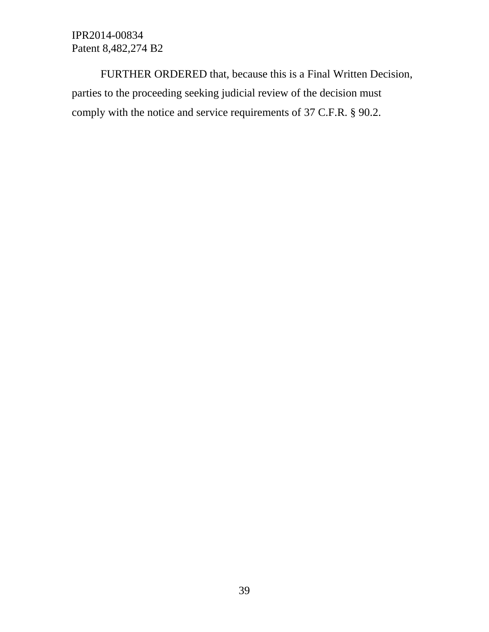FURTHER ORDERED that, because this is a Final Written Decision, parties to the proceeding seeking judicial review of the decision must comply with the notice and service requirements of 37 C.F.R. § 90.2.